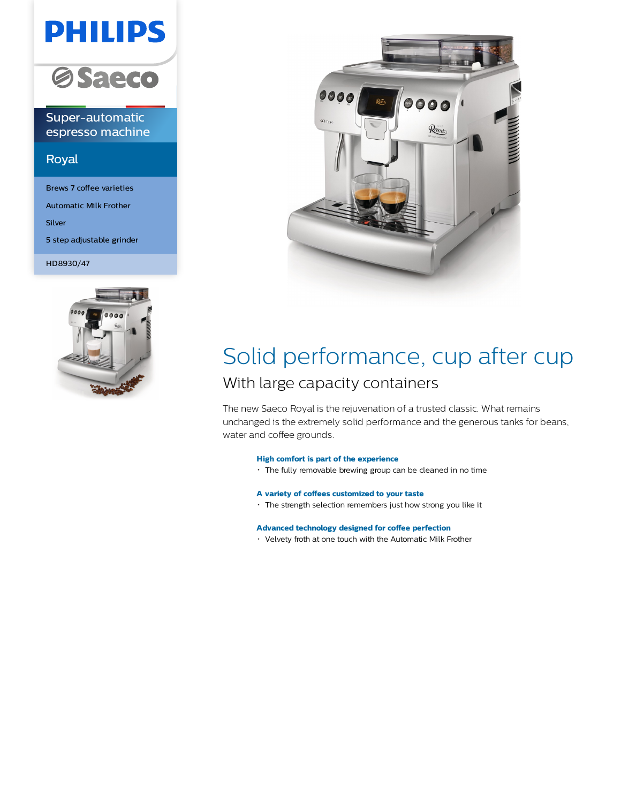# **PHILIPS**



Super-automatic espresso machine

### Royal

Brews 7 coffee varieties Automatic Milk Frother Silver 5 step adjustable grinder

HD8930/47





## Solid performance, cup after cup With large capacity containers

The new Saeco Royal is the rejuvenation of a trusted classic. What remains unchanged is the extremely solid performance and the generous tanks for beans, water and coffee grounds.

#### **High comfort is part of the experience**

The fully removable brewing group can be cleaned in no time

#### **A variety of coffees customized to your taste**

The strength selection remembers just how strong you like it

#### **Advanced technology designed for coffee perfection**

Velvety froth at one touch with the Automatic Milk Frother